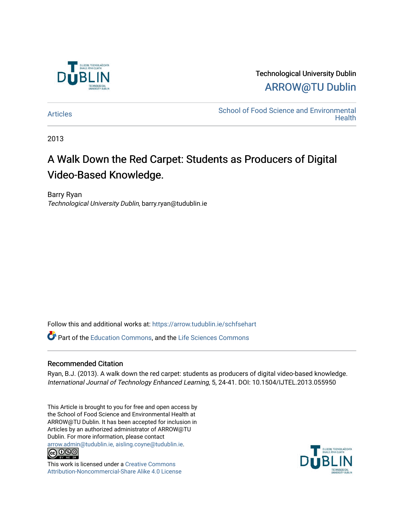

Technological University Dublin [ARROW@TU Dublin](https://arrow.tudublin.ie/) 

[Articles](https://arrow.tudublin.ie/schfsehart) **School of Food Science and Environmental Health** 

2013

# A Walk Down the Red Carpet: Students as Producers of Digital Video-Based Knowledge.

Barry Ryan Technological University Dublin, barry.ryan@tudublin.ie

Follow this and additional works at: [https://arrow.tudublin.ie/schfsehart](https://arrow.tudublin.ie/schfsehart?utm_source=arrow.tudublin.ie%2Fschfsehart%2F164&utm_medium=PDF&utm_campaign=PDFCoverPages) 

**P** Part of the [Education Commons](http://network.bepress.com/hgg/discipline/784?utm_source=arrow.tudublin.ie%2Fschfsehart%2F164&utm_medium=PDF&utm_campaign=PDFCoverPages), and the Life Sciences Commons

# Recommended Citation

Ryan, B.J. (2013). A walk down the red carpet: students as producers of digital video-based knowledge. International Journal of Technology Enhanced Learning, 5, 24-41. DOI: 10.1504/IJTEL.2013.055950

This Article is brought to you for free and open access by the School of Food Science and Environmental Health at ARROW@TU Dublin. It has been accepted for inclusion in Articles by an authorized administrator of ARROW@TU Dublin. For more information, please contact [arrow.admin@tudublin.ie, aisling.coyne@tudublin.ie](mailto:arrow.admin@tudublin.ie,%20aisling.coyne@tudublin.ie).<br>
co 000



This work is licensed under a [Creative Commons](http://creativecommons.org/licenses/by-nc-sa/4.0/) [Attribution-Noncommercial-Share Alike 4.0 License](http://creativecommons.org/licenses/by-nc-sa/4.0/)

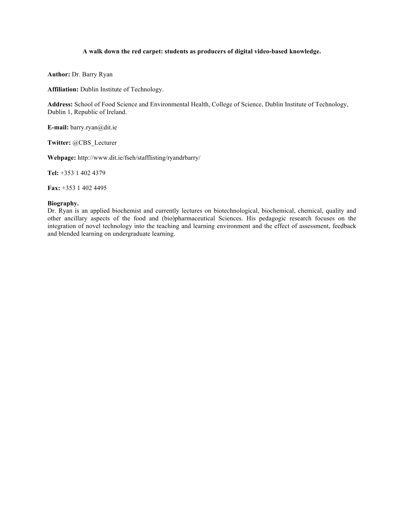# **A walk down the red carpet: students as producers of digital video-based knowledge.**

**Author:** Dr. Barry Ryan

**Affiliation:** Dublin Institute of Technology.

**Address:** School of Food Science and Environmental Health, College of Science, Dublin Institute of Technology, Dublin 1, Republic of Ireland.

**E-mail:** barry.ryan@dit.ie

**Twitter:** @CBS\_Lecturer

**Webpage:** http://www.dit.ie/fseh/stafflisting/ryandrbarry/

**Tel:** +353 1 402 4379

**Fax:** +353 1 402 4495

# **Biography.**

Dr. Ryan is an applied biochemist and currently lectures on biotechnological, biochemical, chemical, quality and other ancillary aspects of the food and (bio)pharmaceutical Sciences. His pedagogic research focuses on the integration of novel technology into the teaching and learning environment and the effect of assessment, feedback and blended learning on undergraduate learning.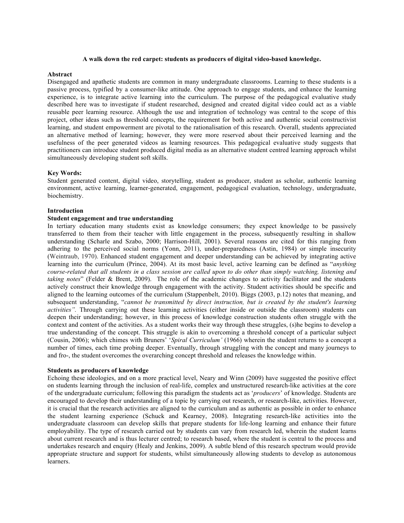#### **A walk down the red carpet: students as producers of digital video-based knowledge.**

#### **Abstract**

Disengaged and apathetic students are common in many undergraduate classrooms. Learning to these students is a passive process, typified by a consumer-like attitude. One approach to engage students, and enhance the learning experience, is to integrate active learning into the curriculum. The purpose of the pedagogical evaluative study described here was to investigate if student researched, designed and created digital video could act as a viable reusable peer learning resource. Although the use and integration of technology was central to the scope of this project, other ideas such as threshold concepts, the requirement for both active and authentic social constructivist learning, and student empowerment are pivotal to the rationalisation of this research. Overall, students appreciated an alternative method of learning; however, they were more reserved about their perceived learning and the usefulness of the peer generated videos as learning resources. This pedagogical evaluative study suggests that practitioners can introduce student produced digital media as an alternative student centred learning approach whilst simultaneously developing student soft skills.

#### **Key Words:**

Student generated content, digital video, storytelling, student as producer, student as scholar, authentic learning environment, active learning, learner-generated, engagement, pedagogical evaluation, technology, undergraduate, biochemistry.

#### **Introduction**

## **Student engagement and true understanding**

In tertiary education many students exist as knowledge consumers; they expect knowledge to be passively transferred to them from their teacher with little engagement in the process, subsequently resulting in shallow understanding (Scharle and Szabo, 2000; Harrison-Hill, 2001). Several reasons are cited for this ranging from adhering to the perceived social norms (Yonn, 2011), under-preparedness (Astin, 1984) or simple insecurity (Weintraub, 1970). Enhanced student engagement and deeper understanding can be achieved by integrating active learning into the curriculum (Prince, 2004). At its most basic level, active learning can be defined as "*anything course-related that all students in a class session are called upon to do other than simply watching, listening and taking notes*" (Felder & Brent, 2009). The role of the academic changes to activity facilitator and the students actively construct their knowledge through engagement with the activity. Student activities should be specific and aligned to the learning outcomes of the curriculum (Stappenbelt, 2010). Biggs (2003, p.12) notes that meaning, and subsequent understanding, "*cannot be transmitted by direct instruction, but is created by the student's learning activities"*. Through carrying out these learning activities (either inside or outside the classroom) students can deepen their understanding; however, in this process of knowledge construction students often struggle with the context and content of the activities. As a student works their way through these struggles, (s)he begins to develop a true understanding of the concept. This struggle is akin to overcoming a threshold concept of a particular subject (Cousin, 2006); which chimes with Bruners' '*Spiral Curriculum'* (1966) wherein the student returns to a concept a number of times, each time probing deeper. Eventually, through struggling with the concept and many journeys to and fro-, the student overcomes the overarching concept threshold and releases the knowledge within.

#### **Students as producers of knowledge**

Echoing these ideologies, and on a more practical level, Neary and Winn (2009) have suggested the positive effect on students learning through the inclusion of real-life, complex and unstructured research-like activities at the core of the undergraduate curriculum; following this paradigm the students act as '*producers*' of knowledge. Students are encouraged to develop their understanding of a topic by carrying out research, or research-like, activities. However, it is crucial that the research activities are aligned to the curriculum and as authentic as possible in order to enhance the student learning experience (Schuck and Kearney, 2008). Integrating research-like activities into the undergraduate classroom can develop skills that prepare students for life-long learning and enhance their future employability. The type of research carried out by students can vary from research led, wherein the student learns about current research and is thus lecturer centred; to research based, where the student is central to the process and undertakes research and enquiry (Healy and Jenkins, 2009). A subtle blend of this research spectrum would provide appropriate structure and support for students, whilst simultaneously allowing students to develop as autonomous learners.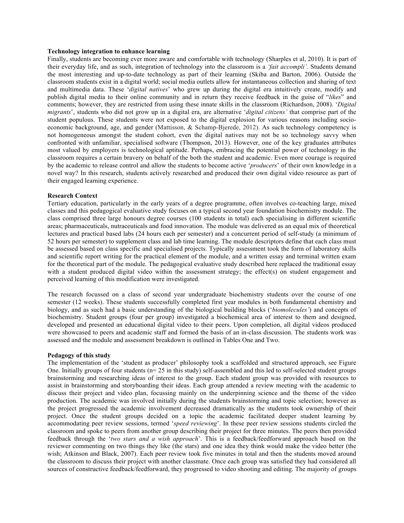#### **Technology integration to enhance learning**

Finally, students are becoming ever more aware and comfortable with technology (Sharples et al, 2010). It is part of their everyday life, and as such, integration of technology into the classroom is a *'fait accompli'.* Students demand the most interesting and up-to-date technology as part of their learning (Skiba and Barton, 2006). Outside the classroom students exist in a digital world; social media outlets allow for instantaneous collection and sharing of text and multimedia data. These '*digital natives*' who grew up during the digital era intuitively create, modify and publish digital media to their online community and in return they receive feedback in the guise of "*likes*" and comments; however, they are restricted from using these innate skills in the classroom (Richardson, 2008). '*Digital migrants*', students who did not grow up in a digital era, are alternative '*digital citizens'* that comprise part of the student populous. These students were not exposed to the digital explosion for various reasons including socioeconomic background, age, and gender (Mattisson, & Schamp-Bjerede, 2012). As such technology competency is not homogeneous amongst the student cohort, even the digital natives may not be so technology savvy when confronted with unfamiliar, specialised software (Thompson, 2013). However, one of the key graduates attributes most valued by employers is technological aptitude. Perhaps, embracing the potential power of technology in the classroom requires a certain bravery on behalf of the both the student and academic. Even more courage is required by the academic to release control and allow the students to become active '*producers*' of their own knowledge in a novel way? In this research, students actively researched and produced their own digital video resource as part of their engaged learning experience.

# **Research Context**

Tertiary education, particularly in the early years of a degree programme, often involves co-teaching large, mixed classes and this pedagogical evaluative study focuses on a typical second year foundation biochemistry module. The class comprised three large honours degree courses (100 students in total) each specialising in different scientific areas; pharmaceuticals, nutraceuticals and food innovation. The module was delivered as an equal mix of theoretical lectures and practical based labs (24 hours each per semester) and a concurrent period of self-study (a minimum of 52 hours per semester) to supplement class and lab time learning. The module descriptors define that each class must be assessed based on class specific and specialised projects. Typically assessment took the form of laboratory skills and scientific report writing for the practical element of the module, and a written essay and terminal written exam for the theoretical part of the module. The pedagogical evaluative study described here replaced the traditional essay with a student produced digital video within the assessment strategy; the effect(s) on student engagement and perceived learning of this modification were investigated.

The research focussed on a class of second year undergraduate biochemistry students over the course of one semester (12 weeks). These students successfully completed first year modules in both fundamental chemistry and biology, and as such had a basic understanding of the biological building blocks ('*biomolecules'*) and concepts of biochemistry. Student groups (four per group) investigated a biochemical area of interest to them and designed, developed and presented an educational digital video to their peers. Upon completion, all digital videos produced were showcased to peers and academic staff and formed the basis of an in-class discussion. The students work was assessed and the module and assessment breakdown is outlined in Tables One and Two.

#### **Pedagogy of this study**

The implementation of the 'student as producer' philosophy took a scaffolded and structured approach, see Figure One. Initially groups of four students (n= 25 in this study) self-assembled and this led to self-selected student groups brainstorming and researching ideas of interest to the group. Each student group was provided with resources to assist in brainstorming and storyboarding their ideas. Each group attended a review meeting with the academic to discuss their project and video plan, focussing mainly on the underpinning science and the theme of the video production. The academic was involved initially during the students brainstorming and topic selection; however as the project progressed the academic involvement decreased dramatically as the students took ownership of their project. Once the student groups decided on a topic the academic facilitated deeper student learning by accommodating peer review sessions, termed '*speed reviewing*'. In these peer review sessions students circled the classroom and spoke to peers from another group describing their project for three minutes. The peers then provided feedback through the '*two stars and a wish approach*'. This is a feedback/feedforward approach based on the reviewer commenting on two things they like (the stars) and one idea they think would make the video better (the wish; Atkinson and Black, 2007). Each peer review took five minutes in total and then the students moved around the classroom to discuss their project with another classmate. Once each group was satisfied they had considered all sources of constructive feedback/feedforward, they progressed to video shooting and editing. The majority of groups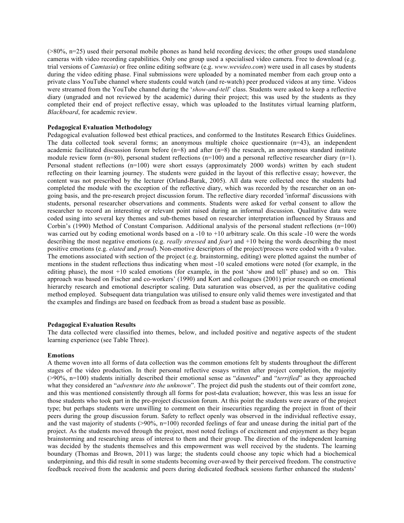(>80%, n=25) used their personal mobile phones as hand held recording devices; the other groups used standalone cameras with video recording capabilities. Only one group used a specialised video camera. Free to download (e.g. trial versions of *Camtasia*) or free online editing software (e.g. *www.wevideo.com*) were used in all cases by students during the video editing phase. Final submissions were uploaded by a nominated member from each group onto a private class YouTube channel where students could watch (and re-watch) peer produced videos at any time. Videos were streamed from the YouTube channel during the '*show-and-tell*' class. Students were asked to keep a reflective diary (ungraded and not reviewed by the academic) during their project; this was used by the students as they completed their end of project reflective essay, which was uploaded to the Institutes virtual learning platform, *Blackboard*, for academic review.

## **Pedagogical Evaluation Methodology**

Pedagogical evaluation followed best ethical practices, and conformed to the Institutes Research Ethics Guidelines. The data collected took several forms; an anonymous multiple choice questionnaire (n=43), an independent academic facilitated discussion forum before  $(n=8)$  and after  $(n=8)$  the research, an anonymous standard institute module review form (n=80), personal student reflections (n=100) and a personal reflective researcher diary (n=1). Personal student reflections (n=100) were short essays (approximately 2000 words) written by each student reflecting on their learning journey. The students were guided in the layout of this reflective essay; however, the content was not prescribed by the lecturer (Orland-Barak, 2005). All data were collected once the students had completed the module with the exception of the reflective diary, which was recorded by the researcher on an ongoing basis, and the pre-research project discussion forum. The reflective diary recorded 'informal' discussions with students, personal researcher observations and comments. Students were asked for verbal consent to allow the researcher to record an interesting or relevant point raised during an informal discussion. Qualitative data were coded using into several key themes and sub-themes based on researcher interpretation influenced by Strauss and Corbin's (1990) Method of Constant Comparison. Additional analysis of the personal student reflections (n=100) was carried out by coding emotional words based on a  $-10$  to  $+10$  arbitrary scale. On this scale  $-10$  were the words describing the most negative emotions (e.g. *really stressed* and *fear*) and +10 being the words describing the most positive emotions (e.g. *elated* and *proud*). Non-emotive descriptors of the project/process were coded with a 0 value. The emotions associated with section of the project (e.g. brainstorming, editing) were plotted against the number of mentions in the student reflections thus indicating when most -10 scaled emotions were noted (for example, in the editing phase), the most +10 scaled emotions (for example, in the post 'show and tell' phase) and so on. This approach was based on Fischer and co-workers' (1990) and Kort and colleagues (2001) prior research on emotional hierarchy research and emotional descriptor scaling. Data saturation was observed, as per the qualitative coding method employed. Subsequent data triangulation was utilised to ensure only valid themes were investigated and that the examples and findings are based on feedback from as broad a student base as possible.

#### **Pedagogical Evaluation Results**

The data collected were classified into themes, below, and included positive and negative aspects of the student learning experience (see Table Three).

#### **Emotions**

A theme woven into all forms of data collection was the common emotions felt by students throughout the different stages of the video production. In their personal reflective essays written after project completion, the majority (>90%, n=100) students initially described their emotional sense as "*daunted*" and "*terrified*" as they approached what they considered an "*adventure into the unknown*". The project did push the students out of their comfort zone, and this was mentioned consistently through all forms for post-data evaluation; however, this was less an issue for those students who took part in the pre-project discussion forum. At this point the students were aware of the project type; but perhaps students were unwilling to comment on their insecurities regarding the project in front of their peers during the group discussion forum. Safety to reflect openly was observed in the individual reflective essay, and the vast majority of students  $(>90\%$ , n=100) recorded feelings of fear and unease during the initial part of the project. As the students moved through the project, most noted feelings of excitement and enjoyment as they began brainstorming and researching areas of interest to them and their group. The direction of the independent learning was decided by the students themselves and this empowerment was well received by the students. The learning boundary (Thomas and Brown, 2011) was large; the students could choose any topic which had a biochemical underpinning, and this did result in some students becoming over-awed by their perceived freedom. The constructive feedback received from the academic and peers during dedicated feedback sessions further enhanced the students'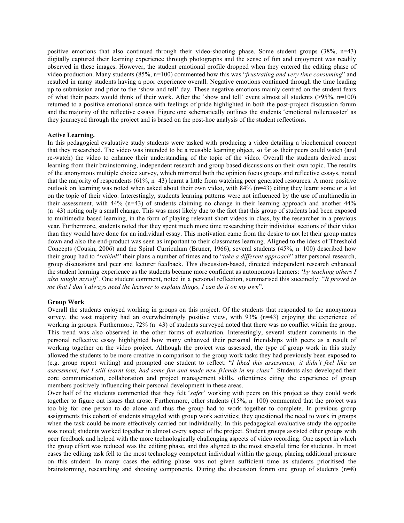positive emotions that also continued through their video-shooting phase. Some student groups (38%, n=43) digitally captured their learning experience through photographs and the sense of fun and enjoyment was readily observed in these images. However, the student emotional profile dropped when they entered the editing phase of video production. Many students (85%, n=100) commented how this was "*frustrating and very time consuming*" and resulted in many students having a poor experience overall. Negative emotions continued through the time leading up to submission and prior to the 'show and tell' day. These negative emotions mainly centred on the student fears of what their peers would think of their work. After the 'show and tell' event almost all students (>95%, n=100) returned to a positive emotional stance with feelings of pride highlighted in both the post-project discussion forum and the majority of the reflective essays. Figure one schematically outlines the students 'emotional rollercoaster' as they journeyed through the project and is based on the post-hoc analysis of the student reflections.

## **Active Learning.**

In this pedagogical evaluative study students were tasked with producing a video detailing a biochemical concept that they researched. The video was intended to be a reusable learning object, so far as their peers could watch (and re-watch) the video to enhance their understanding of the topic of the video. Overall the students derived most learning from their brainstorming, independent research and group based discussions on their own topic. The results of the anonymous multiple choice survey, which mirrored both the opinion focus groups and reflective essays, noted that the majority of respondents  $(61\%, n=43)$  learnt a little from watching peer generated resources. A more positive outlook on learning was noted when asked about their own video, with  $84\%$  (n=43) citing they learnt some or a lot on the topic of their video. Interestingly, students learning patterns were not influenced by the use of multimedia in their assessment, with 44% (n=43) of students claiming no change in their learning approach and another 44% (n=43) noting only a small change. This was most likely due to the fact that this group of students had been exposed to multimedia based learning, in the form of playing relevant short videos in class, by the researcher in a previous year. Furthermore, students noted that they spent much more time researching their individual sections of their video than they would have done for an individual essay. This motivation came from the desire to not let their group mates down and also the end-product was seen as important to their classmates learning. Aligned to the ideas of Threshold Concepts (Cousin, 2006) and the Spiral Curriculum (Bruner, 1966), several students (45%, n=100) described how their group had to "*rethink*" their plans a number of times and to "*take a different approach*" after personal research, group discussions and peer and lecturer feedback. This discussion-based, directed independent research enhanced the student learning experience as the students became more confident as autonomous learners: '*by teaching others I also taught myself*'. One student comment, noted in a personal reflection, summarised this succinctly: "*It proved to me that I don't always need the lecturer to explain things, I can do it on my own*".

#### **Group Work**

Overall the students enjoyed working in groups on this project. Of the students that responded to the anonymous survey, the vast majority had an overwhelmingly positive view, with  $93\%$  (n=43) enjoying the experience of working in groups. Furthermore, 72% (n=43) of students surveyed noted that there was no conflict within the group. This trend was also observed in the other forms of evaluation. Interestingly, several student comments in the personal reflective essay highlighted how many enhanved their personal friendships with peers as a result of working together on the video project. Although the project was assessed, the type of group work in this study allowed the students to be more creative in comparison to the group work tasks they had previously been exposed to (e.g. group report writing) and prompted one student to reflect: "*I liked this assessment, it didn't feel like an assessment, but I still learnt lots, had some fun and made new friends in my class"*. Students also developed their core communication, collaboration and project management skills, oftentimes citing the experience of group members positively influencing their personal development in these areas.

Over half of the students commented that they felt '*safer*' working with peers on this project as they could work together to figure out issues that arose. Furthermore, other students  $(15\%_6)$  n=100) commented that the project was too big for one person to do alone and thus the group had to work together to complete. In previous group assignments this cohort of students struggled with group work activities; they questioned the need to work in groups when the task could be more effectively carried out individually. In this pedagogical evaluative study the opposite was noted; students worked together in almost every aspect of the project. Student groups assisted other groups with peer feedback and helped with the more technologically challenging aspects of video recording. One aspect in which the group effort was reduced was the editing phase, and this aligned to the most stressful time for students. In most cases the editing task fell to the most technology competent individual within the group, placing additional pressure on this student. In many cases the editing phase was not given sufficient time as students prioritised the brainstorming, researching and shooting components. During the discussion forum one group of students (n=8)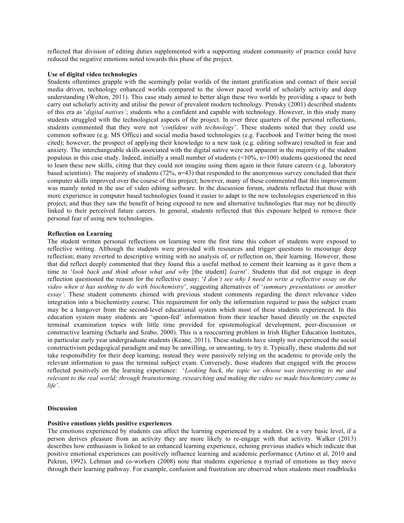reflected that division of editing duties supplemented with a supporting student community of practice could have reduced the negative emotions noted towards this phase of the project.

# **Use of digital video technologies**

Students oftentimes grapple with the seemingly polar worlds of the instant gratification and contact of their social media driven, technology enhanced worlds compared to the slower paced world of scholarly activity and deep understanding (Welton, 2011). This case study aimed to better align these two worlds by providing a space to both carry out scholarly activity and utilise the power of prevalent modern technology. Prensky (2001) described students of this era as '*digital natives'*; students who a confident and capable with technology. However, in this study many students struggled with the technological aspects of the project. In over three quarters of the personal reflections, students commented that they were not '*confident with technology*'. These students noted that they could use common software (e.g. MS Office) and social media based technologies (e.g. Facebook and Twitter being the most cited); however, the prospect of applying their knowledge to a new task (e.g. editing software) resulted in fear and anxiety. The interchangeable skills associated with the digital native were not apparent in the majority of the student populous in this case study. Indeed, initially a small number of students (<10%, n=100) students questioned the need to learn these new skills, citing that they could not imagine using them again in their future careers (e.g. laboratory based scientists). The majority of students (72%, n=43) that responded to the anonymous survey concluded that their computer skills improved over the course of this project; however, many of these commented that this improvement was mainly noted in the use of video editing software. In the discussion forum, students reflected that those with more experience in computer based technologies found it easier to adapt to the new technologies experienced in this project; and thus they saw the benefit of being exposed to new and alternative technologies that may not be directly linked to their perceived future careers. In general, students reflected that this exposure helped to remove their personal fear of using new technologies.

# **Reflection on Learning**

The student written personal reflections on learning were the first time this cohort of students were exposed to reflective writing. Although the students were provided with resources and trigger questions to encourage deep reflection; many reverted to descriptive writing with no analysis of, or reflection on, their learning. However, those that did reflect deeply commented that they found this a useful method to cement their learning as it gave them a time to 'look back and think about what and why [the student] *learnt*'. Students that did not engage in deep reflection questioned the reason for the reflective essay: '*I don't see why I need to write a reflective essay on the video when it has nothing to do with biochemistry*', suggesting alternatives of '*summary presentations or another essay'*. These student comments chimed with previous student comments regarding the direct relevance video integration into a biochemistry course. This requirement for only the information required to pass the subject exam may be a hangover from the second-level educational system which most of these students experienced. In this education system many students are 'spoon-fed' information from their teacher based directly on the expected terminal examination topics with little time provided for epistemological development, peer-discussion or constructive learning (Scharle and Szabo, 2000). This is a reoccurring problem in Irish Higher Education Institutes, in particular early year undergraduate students (Keane, 2011). These students have simply not experienced the social constructivism pedagogical paradigm and may be unwilling, or unwanting, to try it. Typically, these students did not take responsibility for their deep learning; instead they were passively relying on the academic to provide only the relevant information to pass the terminal subject exam. Conversely, those students that engaged with the process reflected positively on the learning experience: '*Looking back, the topic we choose was interesting to me and relevant to the real world; through brainstorming, researching and making the video we made biochemistry come to life'*.

## **Discussion**

## **Positive emotions yields positive experiences**

The emotions experienced by students can affect the learning experienced by a student. On a very basic level, if a person derives pleasure from an activity they are more likely to re-engage with that activity. Walker (2013) describes how enthusiasm is linked to an enhanced learning experience, echoing previous studies which indicate that positive emotional experiences can positively influence learning and academic performance (Artino et al, 2010 and Pekrun, 1992). Lehman and co-workers (2008) note that students experience a myriad of emotions as they move through their learning pathway. For example, confusion and frustration are observed when students meet roadblocks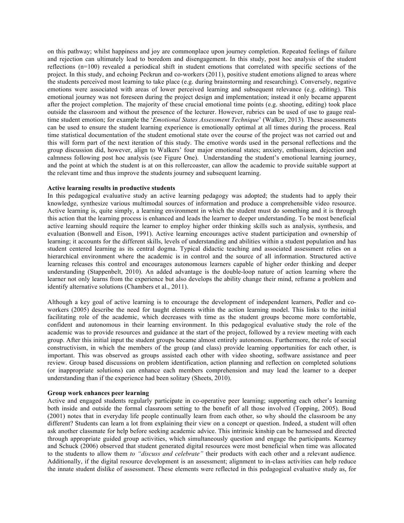on this pathway; whilst happiness and joy are commonplace upon journey completion. Repeated feelings of failure and rejection can ultimately lead to boredom and disengagement. In this study, post hoc analysis of the student reflections (n=100) revealed a periodical shift in student emotions that correlated with specific sections of the project. In this study, and echoing Peckrun and co-workers (2011), positive student emotions aligned to areas where the students perceived most learning to take place (e.g. during brainstorming and researching). Conversely, negative emotions were associated with areas of lower perceived learning and subsequent relevance (e.g. editing). This emotional journey was not foreseen during the project design and implementation; instead it only became apparent after the project completion. The majority of these crucial emotional time points (e.g. shooting, editing) took place outside the classroom and without the presence of the lecturer. However, rubrics can be used of use to gauge realtime student emotion; for example the '*Emotional States Assessment Technique*' (Walker, 2013). These assessments can be used to ensure the student learning experience is emotionally optimal at all times during the process. Real time statistical documentation of the student emotional state over the course of the project was not carried out and this will form part of the next iteration of this study. The emotive words used in the personal reflections and the group discussion did, however, align to Walkers' four major emotional states; anxiety, enthusiasm, dejection and calmness following post hoc analysis (see Figure One). Understanding the student's emotional learning journey, and the point at which the student is at on this rollercoaster, can allow the academic to provide suitable support at the relevant time and thus improve the students journey and subsequent learning.

#### **Active learning results in productive students**

In this pedagogical evaluative study an active learning pedagogy was adopted; the students had to apply their knowledge, synthesize various multimodal sources of information and produce a comprehensible video resource. Active learning is, quite simply, a learning environment in which the student must do something and it is through this action that the learning process is enhanced and leads the learner to deeper understanding. To be most beneficial active learning should require the learner to employ higher order thinking skills such as analysis, synthesis, and evaluation (Bonwell and Eison, 1991). Active learning encourages active student participation and ownership of learning; it accounts for the different skills, levels of understanding and abilities within a student population and has student centered learning as its central dogma. Typical didactic teaching and associated assessment relies on a hierarchical environment where the academic is in control and the source of all information. Structured active learning releases this control and encourages autonomous learners capable of higher order thinking and deeper understanding (Stappenbelt, 2010). An added advantage is the double-loop nature of action learning where the learner not only learns from the experience but also develops the ability change their mind, reframe a problem and identify alternative solutions (Chambers et al., 2011).

Although a key goal of active learning is to encourage the development of independent learners, Pedler and coworkers (2005) describe the need for taught elements within the action learning model. This links to the initial facilitating role of the academic, which decreases with time as the student groups become more comfortable, confident and autonomous in their learning environment. In this pedagogical evaluative study the role of the academic was to provide resources and guidance at the start of the project, followed by a review meeting with each group. After this initial input the student groups became almost entirely autonomous. Furthermore, the role of social constructivism, in which the members of the group (and class) provide learning opportunities for each other, is important. This was observed as groups assisted each other with video shooting, software assistance and peer review. Group based discussions on problem identification, action planning and reflection on completed solutions (or inappropriate solutions) can enhance each members comprehension and may lead the learner to a deeper understanding than if the experience had been solitary (Sheets, 2010).

# **Group work enhances peer learning**

Active and engaged students regularly participate in co-operative peer learning; supporting each other's learning both inside and outside the formal classroom setting to the benefit of all those involved (Topping, 2005). Boud (2001) notes that in everyday life people continually learn from each other, so why should the classroom be any different? Students can learn a lot from explaining their view on a concept or question. Indeed, a student will often ask another classmate for help before seeking academic advice. This intrinsic kinship can be harnessed and directed through appropriate guided group activities, which simultaneously question and engage the participants. Kearney and Schuck (2006) observed that student generated digital resources were most beneficial when time was allocated to the students to allow them *to "discuss and celebrate"* their products with each other and a relevant audience*.*  Additionally, if the digital resource development is an assessment; alignment to in-class activities can help reduce the innate student dislike of assessment. These elements were reflected in this pedagogical evaluative study as, for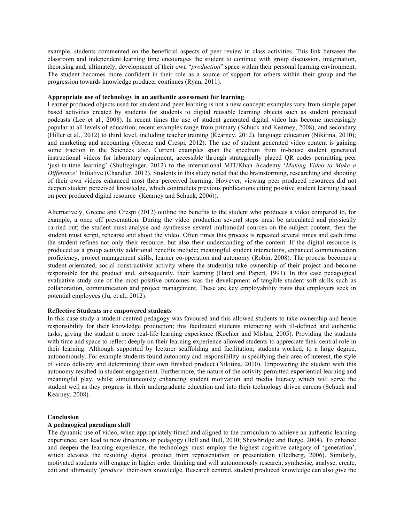example, students commented on the beneficial aspects of peer review in class activities. This link between the classroom and independent learning time encourages the student to continue with group discussion, imagination, theorising and, ultimately, development of their own "*production*" space within their personal learning environment. The student becomes more confident in their role as a source of support for others within their group and the progression towards knowledge producer continues (Ryan, 2011).

#### **Appropriate use of technology in an authentic assessment for learning**

Learner produced objects used for student and peer learning is not a new concept; examples vary from simple paper based activities created by students for students to digital reusable learning objects such as student produced podcasts (Lee et al., 2008). In recent times the use of student generated digital video has become increasingly popular at all levels of education; recent examples range from primary (Schuck and Kearney, 2008), and secondary (Hiller et al., 2012) to third level, including teacher training (Kearney, 2012), language education (Nikitina, 2010); and marketing and accounting (Greene and Crespi, 2012). The use of student generated video content is gaining some traction in the Sciences also. Current examples span the spectrum from in-house student generated instructional videos for laboratory equipment, accessible through strategically placed QR codes permitting peer 'just-in-time learning' (Shultzginger, 2012) to the international MIT/Khan Academy '*Making Video to Make a Difference*' Initiative (Chandler, 2012). Students in this study noted that the brainstorming, researching and shooting of their own videos enhanced most their perceived learning. However, viewing peer produced resources did not deepen student perceived knowledge, which contradicts previous publications citing positive student learning based on peer produced digital resource (Kearney and Schuck, 2006)).

Alternatively, Greene and Crespi (2012) outline the benefits to the student who produces a video compared to, for example, a once off presentation. During the video production several steps must be articulated and physically carried out; the student must analyse and synthesise several multimodal sources on the subject content, then the student must script, rehearse and shoot the video. Often times this process is repeated several times and each time the student refines not only their resource, but also their understanding of the content. If the digital resource is produced as a group activity additional benefits include; meaningful student interactions, enhanced communication proficiency, project management skills, learner co-operation and autonomy (Robin, 2008). The process becomes a student-orientated, social constructivist activity where the student(s) take ownership of their project and become responsible for the product and, subsequently, their learning (Harel and Papert, 1991). In this case pedagogical evaluative study one of the most positive outcomes was the development of tangible student soft skills such as collaboration, communication and project management. These are key employability traits that employers seek in potential employees (Ju, et al., 2012).

## **Reflective Students are empowered students**

In this case study a student-centred pedagogy was favoured and this allowed students to take ownership and hence responsibility for their knowledge production; this facilitated students interacting with ill-defined and authentic tasks, giving the student a more real-life learning experience (Koehler and Mishra, 2005). Providing the students with time and space to reflect deeply on their learning experience allowed students to appreciate their central role in their learning. Although supported by lecturer scaffolding and facilitation; students worked, to a large degree, autonomously. For example students found autonomy and responsibility in specifying their area of interest, the style of video delivery and determining their own finished product (Nikitina, 2010). Empowering the student with this autonomy resulted in student engagement. Furthermore, the nature of the activity permitted experiential learning and meaningful play, whilst simultaneously enhancing student motivation and media literacy which will serve the student well as they progress in their undergraduate education and into their technology driven careers (Schuck and Kearney, 2008).

## **Conclusion**

#### **A pedagogical paradigm shift**

The dynamic use of video, when appropriately timed and aligned to the curriculum to achieve an authentic learning experience, can lead to new directions in pedagogy (Bell and Bull, 2010; Shewbridge and Berge, 2004). To enhance and deepen the learning experience, the technology must employ the highest cognitive category of 'generation', which elevates the resulting digital product from representation or presentation (Hedberg, 2006). Similarly, motivated students will engage in higher order thinking and will autonomously research, synthesise, analyse, create, edit and ultimately '*produce*' their own knowledge. Research centred, student produced knowledge can also give the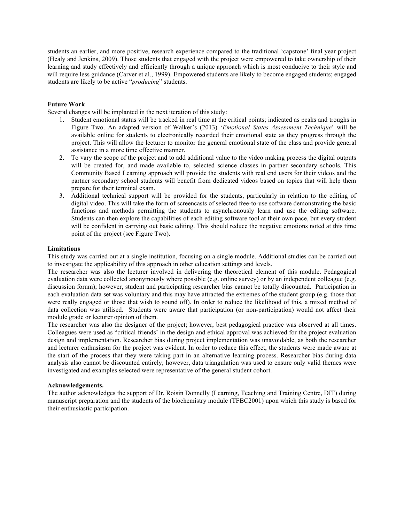students an earlier, and more positive, research experience compared to the traditional 'capstone' final year project (Healy and Jenkins, 2009). Those students that engaged with the project were empowered to take ownership of their learning and study effectively and efficiently through a unique approach which is most conducive to their style and will require less guidance (Carver et al., 1999). Empowered students are likely to become engaged students; engaged students are likely to be active "*producing*" students.

# **Future Work**

Several changes will be implanted in the next iteration of this study:

- 1. Student emotional status will be tracked in real time at the critical points; indicated as peaks and troughs in Figure Two. An adapted version of Walker's (2013) '*Emotional States Assessment Technique*' will be available online for students to electronically recorded their emotional state as they progress through the project. This will allow the lecturer to monitor the general emotional state of the class and provide general assistance in a more time effective manner.
- 2. To vary the scope of the project and to add additional value to the video making process the digital outputs will be created for, and made available to, selected science classes in partner secondary schools. This Community Based Learning approach will provide the students with real end users for their videos and the partner secondary school students will benefit from dedicated videos based on topics that will help them prepare for their terminal exam.
- 3. Additional technical support will be provided for the students, particularly in relation to the editing of digital video. This will take the form of screencasts of selected free-to-use software demonstrating the basic functions and methods permitting the students to asynchronously learn and use the editing software. Students can then explore the capabilities of each editing software tool at their own pace, but every student will be confident in carrying out basic editing. This should reduce the negative emotions noted at this time point of the project (see Figure Two).

## **Limitations**

This study was carried out at a single institution, focusing on a single module. Additional studies can be carried out to investigate the applicability of this approach in other education settings and levels.

The researcher was also the lecturer involved in delivering the theoretical element of this module. Pedagogical evaluation data were collected anonymously where possible (e.g. online survey) or by an independent colleague (e.g. discussion forum); however, student and participating researcher bias cannot be totally discounted. Participation in each evaluation data set was voluntary and this may have attracted the extremes of the student group (e.g. those that were really engaged or those that wish to sound off). In order to reduce the likelihood of this, a mixed method of data collection was utilised. Students were aware that participation (or non-participation) would not affect their module grade or lecturer opinion of them.

The researcher was also the designer of the project; however, best pedagogical practice was observed at all times. Colleagues were used as "critical friends' in the design and ethical approval was achieved for the project evaluation design and implementation. Researcher bias during project implementation was unavoidable, as both the researcher and lecturer enthusiasm for the project was evident. In order to reduce this effect, the students were made aware at the start of the process that they were taking part in an alternative learning process. Researcher bias during data analysis also cannot be discounted entirely; however, data triangulation was used to ensure only valid themes were investigated and examples selected were representative of the general student cohort.

## **Acknowledgements.**

The author acknowledges the support of Dr. Roisin Donnelly (Learning, Teaching and Training Centre, DIT) during manuscript preparation and the students of the biochemistry module (TFBC2001) upon which this study is based for their enthusiastic participation.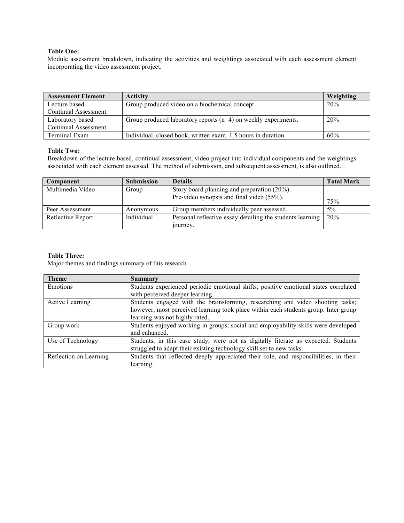# **Table One:**

Module assessment breakdown, indicating the activities and weightings associated with each assessment element incorporating the video assessment project.

| <b>Assessment Element</b> | <b>Activity</b>                                                  | Weighting |
|---------------------------|------------------------------------------------------------------|-----------|
| Lecture based             | Group produced video on a biochemical concept.                   | 20%       |
| Continual Assessment      |                                                                  |           |
| Laboratory based          | Group produced laboratory reports $(n=4)$ on weekly experiments. | 20%       |
| Continual Assessment      |                                                                  |           |
| Terminal Exam             | Individual, closed book, written exam. 1.5 hours in duration.    | 60%       |

# **Table Two:**

Breakdown of the lecture based, continual assessment, video project into individual components and the weightings associated with each element assessed. The method of submission, and subsequent assessment, is also outlined.

| Component         | <b>Submission</b> | <b>Details</b>                                            | <b>Total Mark</b> |
|-------------------|-------------------|-----------------------------------------------------------|-------------------|
| Multimedia Video  | Group             | Story board planning and preparation (20%).               |                   |
|                   |                   | Pre-video synopsis and final video (55%).                 | 75%               |
| Peer Assessment   | Anonymous         | Group members individually peer assessed.                 | 5%                |
| Reflective Report | Individual        | Personal reflective essay detailing the students learning | 20%               |
|                   |                   | journey.                                                  |                   |

# **Table Three:**

Major themes and findings summary of this research.

| <b>Theme</b>           | Summary                                                                               |  |
|------------------------|---------------------------------------------------------------------------------------|--|
| Emotions               | Students experienced periodic emotional shifts; positive emotional states correlated  |  |
|                        | with perceived deeper learning.                                                       |  |
| <b>Active Learning</b> | Students engaged with the brainstorming, researching and video shooting tasks;        |  |
|                        | however, most perceived learning took place within each students group. Inter group   |  |
|                        | learning was not highly rated.                                                        |  |
| Group work             | Students enjoyed working in groups; social and employability skills were developed    |  |
|                        | and enhanced.                                                                         |  |
| Use of Technology      | Students, in this case study, were not as digitally literate as expected. Students    |  |
|                        | struggled to adapt their existing technology skill set to new tasks.                  |  |
| Reflection on Learning | Students that reflected deeply appreciated their role, and responsibilities, in their |  |
|                        | learning.                                                                             |  |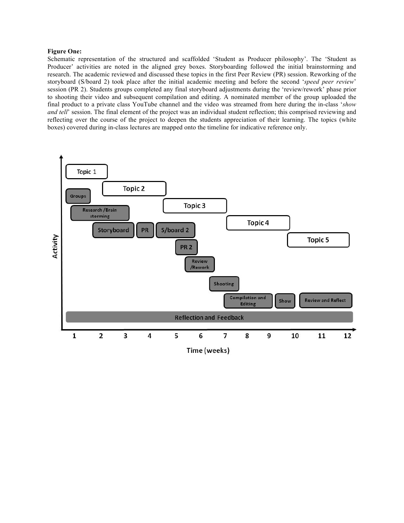# **Figure One:**

Schematic representation of the structured and scaffolded 'Student as Producer philosophy'. The 'Student as Producer' activities are noted in the aligned grey boxes. Storyboarding followed the initial brainstorming and research. The academic reviewed and discussed these topics in the first Peer Review (PR) session. Reworking of the storyboard (S/board 2) took place after the initial academic meeting and before the second '*speed peer review*' session (PR 2). Students groups completed any final storyboard adjustments during the 'review/rework' phase prior to shooting their video and subsequent compilation and editing. A nominated member of the group uploaded the final product to a private class YouTube channel and the video was streamed from here during the in-class '*show and tell*' session. The final element of the project was an individual student reflection; this comprised reviewing and reflecting over the course of the project to deepen the students appreciation of their learning. The topics (white boxes) covered during in-class lectures are mapped onto the timeline for indicative reference only.



Time (weeks)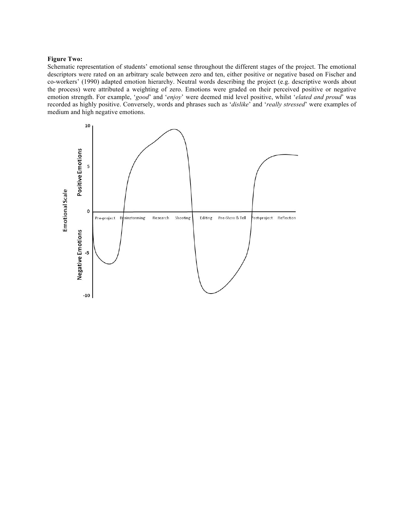## **Figure Two:**

Schematic representation of students' emotional sense throughout the different stages of the project. The emotional descriptors were rated on an arbitrary scale between zero and ten, either positive or negative based on Fischer and co-workers' (1990) adapted emotion hierarchy. Neutral words describing the project (e.g. descriptive words about the process) were attributed a weighting of zero. Emotions were graded on their perceived positive or negative emotion strength. For example, '*good*' and '*enjoy*' were deemed mid level positive, whilst '*elated and proud*' was recorded as highly positive. Conversely, words and phrases such as '*dislike*' and '*really stressed*' were examples of medium and high negative emotions.

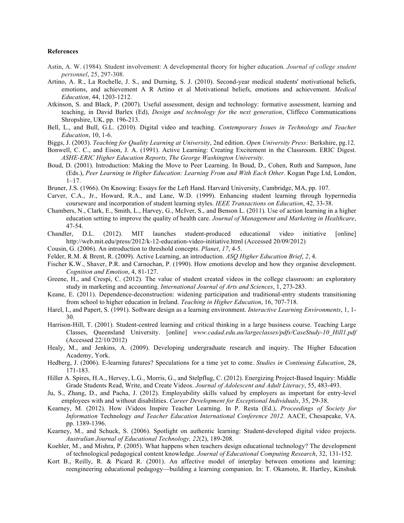#### **References**

- Astin, A. W. (1984). Student involvement: A developmental theory for higher education. *Journal of college student personnel*, 25, 297-308.
- Artino, A. R., La Rochelle, J. S., and Durning, S. J. (2010). Second-year medical students' motivational beliefs, emotions, and achievement A R Artino et al Motivational beliefs, emotions and achievement. *Medical Education*, 44, 1203-1212.
- Atkinson, S. and Black, P. (2007). Useful assessment, design and technology: formative assessment, learning and teaching, in David Barlex (Ed), *Design and technology for the next generation*, Cliffeco Communications Shropshire, UK, pp. 196-213.
- Bell, L., and Bull, G.L. (2010). Digital video and teaching. *Contemporary Issues in Technology and Teacher Education*, 10, 1-6.
- Biggs, J. (2003). *Teaching for Quality Learning at University*, 2nd edition. *Open University Press:* Berkshire, pg.12.
- Bonwell, C. C., and Eison, J. A. (1991). Active Learning: Creating Excitement in the Classroom. ERIC Digest. *ASHE-ERIC Higher Education Reports, The George Washington University.*
- Boud, D. (2001). Introduction: Making the Move to Peer Learning. In Boud, D., Cohen, Ruth and Sampson, Jane (Eds.), *Peer Learning in Higher Education: Learning From and With Each Other*. Kogan Page Ltd, London,  $1-17.$
- Bruner, J.S. (1966). On Knowing: Essays for the Left Hand. Harvard University, Cambridge, MA, pp. 107.
- Carver, C.A., Jr., Howard, R.A., and Lane, W.D. (1999). Enhancing student learning through hypermedia courseware and incorporation of student learning styles. *IEEE Transactions on Education*, 42, 33-38.
- Chambers, N., Clark, E., Smith, L., Harvey, G., McIver, S., and Benson L. (2011). Use of action learning in a higher education setting to improve the quality of health care. *Journal of Management and Marketing in Healthcare*, 47-54.
- Chandler, D.L. (2012). MIT launches student-produced educational video initiative [online] http://web.mit.edu/press/2012/k-12-education-video-initiative.html (Accessed 20/09/2012)
- Cousin, G. (2006). An introduction to threshold concepts. *Planet*, *17*, 4-5.
- Felder, R.M. & Brent, R. (2009). Active Learning, an introduction. *ASQ Higher Education Brief*, *2*, 4.
- Fischer K.W., Shaver, P.R. and Carnochan, P. (1990). How emotions develop and how they organise development. *Cognition and Emotion*, 4, 81-127.
- Greene, H., and Crespi, C. (2012). The value of student created videos in the college classroom: an exploratory study in marketing and accounting. *International Journal of Arts and Sciences*, 1, 273-283.
- Keane, E. (2011). Dependence-deconstruction: widening participation and traditional-entry students transitioning from school to higher education in Ireland. *Teaching in Higher Education*, 16, 707-718.
- Harel, I., and Papert, S. (1991). Software design as a learning environment. *Interactive Learning Environments*, 1, 1- 30.
- Harrison-Hill, T. (2001). Student-centred learning and critical thinking in a large business course. Teaching Large Classes, Queensland University. [online] *www.cadad.edu.au/largeclasses/pdfs/CaseStudy-10\_Hill1.pdf* (Accessed 22/10/2012)
- Healy, M., and Jenkins, A. (2009). Developing undergraduate research and inquiry. The Higher Education Academy, York.
- Hedberg, J. (2006). E-learning futures? Speculations for a time yet to come. *Studies in Continuing Education*, 28, 171-183.
- Hiller A. Spires, H.A., Hervey, L.G., Morris, G., and Stelpflug, C. (2012). Energizing Project-Based Inquiry: Middle Grade Students Read, Write, and Create Videos. *Journal of Adolescent and Adult Literacy*, 55, 483-493.
- Ju, S., Zhang, D., and Pacha, J. (2012). Employability skills valued by employers as important for entry-level employees with and without disabilities. *Career Development for Exceptional Individuals*, 35, 29-38.
- Kearney, M. (2012). How iVideos Inspire Teacher Learning. In P. Resta (Ed.), *Proceedings of Society for Information* Technology *and Teacher Education International Conference 2012.* AACE, Chesapeake, VA. pp. 1389-1396.
- Kearney, M., and Schuck, S. (2006). Spotlight on authentic learning: Student-developed digital video projects. *Australian Journal of Educational Technology, 22*(2), 189-208.
- Koehler, M., and Mishra, P. (2005). What happens when teachers design educational technology? The development of technological pedagogical content knowledge. *Journal of Educational Computing Research*, 32, 131-152.
- Kort B., Reilly, R. & Picard R. (2001). An affective model of interplay between emotions and learning: reengineering educational pedagogy—building a learning companion. In: T. Okamoto, R. Hartley, Kinshuk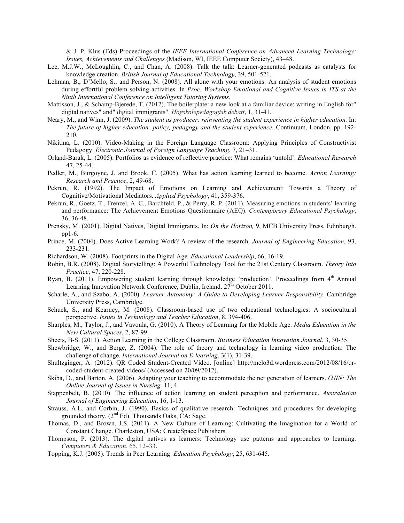& J. P. Klus (Eds) Proceedings of the *IEEE International Conference on Advanced Learning Technology: Issues, Achievements and Challenges* (Madison, WI, IEEE Computer Society), 43–48.

- Lee, M.J.W., McLoughlin, C., and Chan, A. (2008). Talk the talk: Learner-generated podcasts as catalysts for knowledge creation. *British Journal of Educational Technology*, 39, 501-521.
- Lehman, B., D'Mello, S., and Person, N. (2008). All alone with your emotions: An analysis of student emotions during effortful problem solving activities. In *Proc. Workshop Emotional and Cognitive Issues in ITS at the Ninth International Conference on Intelligent Tutoring Systems.*
- Mattisson, J., & Schamp-Bjerede, T. (2012). The boilerplate: a new look at a familiar device: writing in English for" digital natives" and" digital immigrants". *Högskolepedagogisk debatt*, 1, 31-41.
- Neary, M., and Winn, J. (2009). *The student as producer: reinventing the student experience in higher education.* In: *The future of higher education: policy, pedagogy and the student experience*. Continuum, London, pp. 192- 210.
- Nikitina, L. (2010). Video-Making in the Foreign Language Classroom: Applying Principles of Constructivist Pedagogy. *Electronic Journal of Foreign Language Teaching*, 7, 21–31.
- Orland-Barak, L. (2005). Portfolios as evidence of reflective practice: What remains 'untold'. *Educational Research* 47, 25-44.
- Pedler, M., Burgoyne, J. and Brook, C. (2005). What has action learning learned to become. *Action Learning: Research and Practice*, 2, 49-68.
- Pekrun, R. (1992). The Impact of Emotions on Learning and Achievement: Towards a Theory of Cognitive/Motivational Mediators. *Applied Psychology*, 41, 359-376.
- Pekrun, R., Goetz, T., Frenzel, A. C., Barchfeld, P., & Perry, R. P. (2011). Measuring emotions in students' learning and performance: The Achievement Emotions Questionnaire (AEQ). *Contemporary Educational Psychology*, 36, 36-48.
- Prensky, M. (2001). Digital Natives, Digital Immigrants. In: *On the Horizon,* 9, MCB University Press, Edinburgh. pp1-6.
- Prince, M. (2004). Does Active Learning Work? A review of the research. *Journal of Engineering Education*, 93, 233-231.
- Richardson, W. (2008). Footprints in the Digital Age. *Educational Leadership*, 66, 16-19.
- Robin, B.R. (2008). Digital Storytelling: A Powerful Technology Tool for the 21st Century Classroom. *Theory Into Practice*, 47, 220-228.
- Ryan, B. (2011). Empowering student learning through knowledge 'production'. Proceedings from  $4<sup>th</sup>$  Annual Learning Innovation Network Conference, Dublin, Ireland.  $27<sup>th</sup>$  October 2011.
- Scharle, A., and Szabo, A. (2000). *Learner Autonomy: A Guide to Developing Learner Responsibility*. Cambridge University Press, Cambridge.
- Schuck, S., and Kearney, M. (2008). Classroom-based use of two educational technologies: A sociocultural perspective. *Issues in Technology and Teacher Education*, 8, 394-406.
- Sharples, M., Taylor, J., and Vavoula, G. (2010). A Theory of Learning for the Mobile Age. *Media Education in the New Cultural Spaces*, 2, 87-99.
- Sheets, B-S. (2011). Action Learning in the College Classroom. *Business Education Innovation Journal*, 3, 30-35.
- Shewbridge, W., and Berge, Z. (2004). The role of theory and technology in learning video production: The challenge of change. *International Journal on E-learning*, 3(1), 31-39.
- Shultzginger, A. (2012). QR Coded Student-Created Video. [online] http://melo3d.wordpress.com/2012/08/16/qrcoded-student-created-videos/ (Accessed on 20/09/2012).
- Skiba, D., and Barton, A. (2006). Adapting your teaching to accommodate the net generation of learners. *OJIN: The Online Journal of Issues in Nursing,* 11, 4.
- Stappenbelt, B. (2010). The influence of action learning on student perception and performance. *Australasian Journal of Engineering Education*, 16, 1-13.
- Strauss, A.L. and Corbin, J. (1990). Basics of qualitative research: Techniques and procedures for developing grounded theory.  $(2^{nd} Ed)$ . Thousands Oaks, CA: Sage.
- Thomas, D., and Brown, J.S. (2011). A New Culture of Learning: Cultivating the Imagination for a World of Constant Change. Charleston, USA; CreateSpace Publishers.
- Thompson, P. (2013). The digital natives as learners: Technology use patterns and approaches to learning. *Computers & Education*. 65, 12–33.
- Topping, K.J. (2005). Trends in Peer Learning. *Education Psychology*, 25, 631-645.